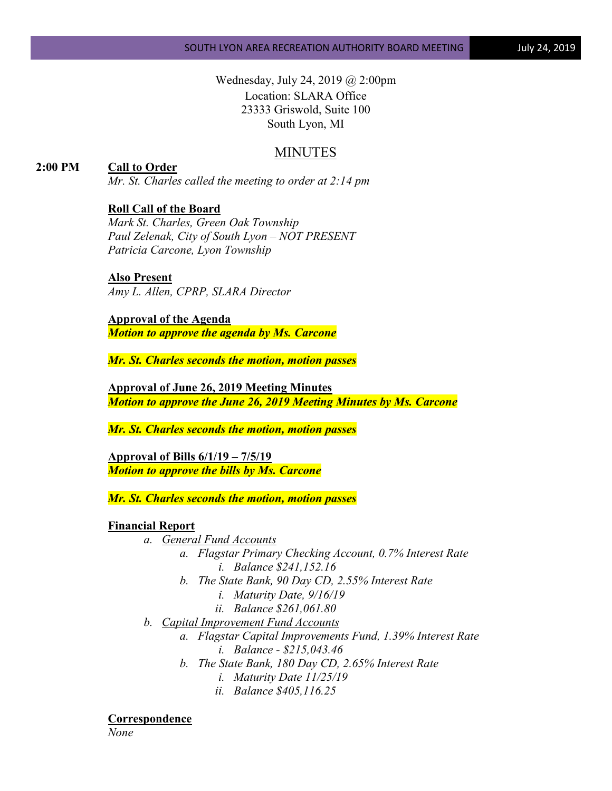Wednesday, July 24, 2019 @ 2:00pm Location: SLARA Office 23333 Griswold, Suite 100 South Lyon, MI

# MINUTES

# **2:00 PM Call to Order**

*Mr. St. Charles called the meeting to order at 2:14 pm*

## **Roll Call of the Board**

*Mark St. Charles, Green Oak Township Paul Zelenak, City of South Lyon – NOT PRESENT Patricia Carcone, Lyon Township*

#### **Also Present**

*Amy L. Allen, CPRP, SLARA Director*

**Approval of the Agenda** *Motion to approve the agenda by Ms. Carcone*

*Mr. St. Charles seconds the motion, motion passes*

**Approval of June 26, 2019 Meeting Minutes** *Motion to approve the June 26, 2019 Meeting Minutes by Ms. Carcone*

*Mr. St. Charles seconds the motion, motion passes*

**Approval of Bills 6/1/19 – 7/5/19** *Motion to approve the bills by Ms. Carcone*

*Mr. St. Charles seconds the motion, motion passes*

#### **Financial Report**

*a. General Fund Accounts*

- *a. Flagstar Primary Checking Account, 0.7% Interest Rate i. Balance \$241,152.16*
- *b. The State Bank, 90 Day CD, 2.55% Interest Rate*
	- *i. Maturity Date, 9/16/19*
	- *ii. Balance \$261,061.80*
- *b. Capital Improvement Fund Accounts*
	- *a. Flagstar Capital Improvements Fund, 1.39% Interest Rate*
		- *i. Balance - \$215,043.46*
		- *b. The State Bank, 180 Day CD, 2.65% Interest Rate*
			- *i. Maturity Date 11/25/19*
			- *ii. Balance \$405,116.25*

**Correspondence**

*None*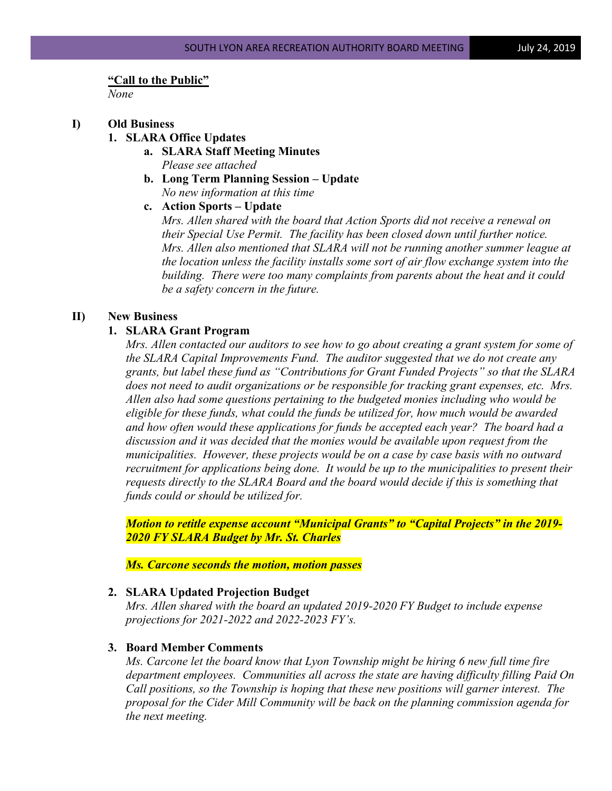#### **"Call to the Public"**

*None*

#### **I) Old Business**

- **1. SLARA Office Updates**
	- **a. SLARA Staff Meeting Minutes** *Please see attached*
	- **b. Long Term Planning Session – Update** *No new information at this time*

# **c. Action Sports – Update**

*Mrs. Allen shared with the board that Action Sports did not receive a renewal on their Special Use Permit. The facility has been closed down until further notice. Mrs. Allen also mentioned that SLARA will not be running another summer league at the location unless the facility installs some sort of air flow exchange system into the building. There were too many complaints from parents about the heat and it could be a safety concern in the future.*

## **II) New Business**

## **1. SLARA Grant Program**

*Mrs. Allen contacted our auditors to see how to go about creating a grant system for some of the SLARA Capital Improvements Fund. The auditor suggested that we do not create any grants, but label these fund as "Contributions for Grant Funded Projects" so that the SLARA does not need to audit organizations or be responsible for tracking grant expenses, etc. Mrs. Allen also had some questions pertaining to the budgeted monies including who would be eligible for these funds, what could the funds be utilized for, how much would be awarded and how often would these applications for funds be accepted each year? The board had a discussion and it was decided that the monies would be available upon request from the municipalities. However, these projects would be on a case by case basis with no outward recruitment for applications being done. It would be up to the municipalities to present their requests directly to the SLARA Board and the board would decide if this is something that funds could or should be utilized for.* 

*Motion to retitle expense account "Municipal Grants" to "Capital Projects" in the 2019- 2020 FY SLARA Budget by Mr. St. Charles*

*Ms. Carcone seconds the motion, motion passes*

## **2. SLARA Updated Projection Budget**

*Mrs. Allen shared with the board an updated 2019-2020 FY Budget to include expense projections for 2021-2022 and 2022-2023 FY's.*

#### **3. Board Member Comments**

*Ms. Carcone let the board know that Lyon Township might be hiring 6 new full time fire department employees. Communities all across the state are having difficulty filling Paid On Call positions, so the Township is hoping that these new positions will garner interest. The proposal for the Cider Mill Community will be back on the planning commission agenda for the next meeting.*